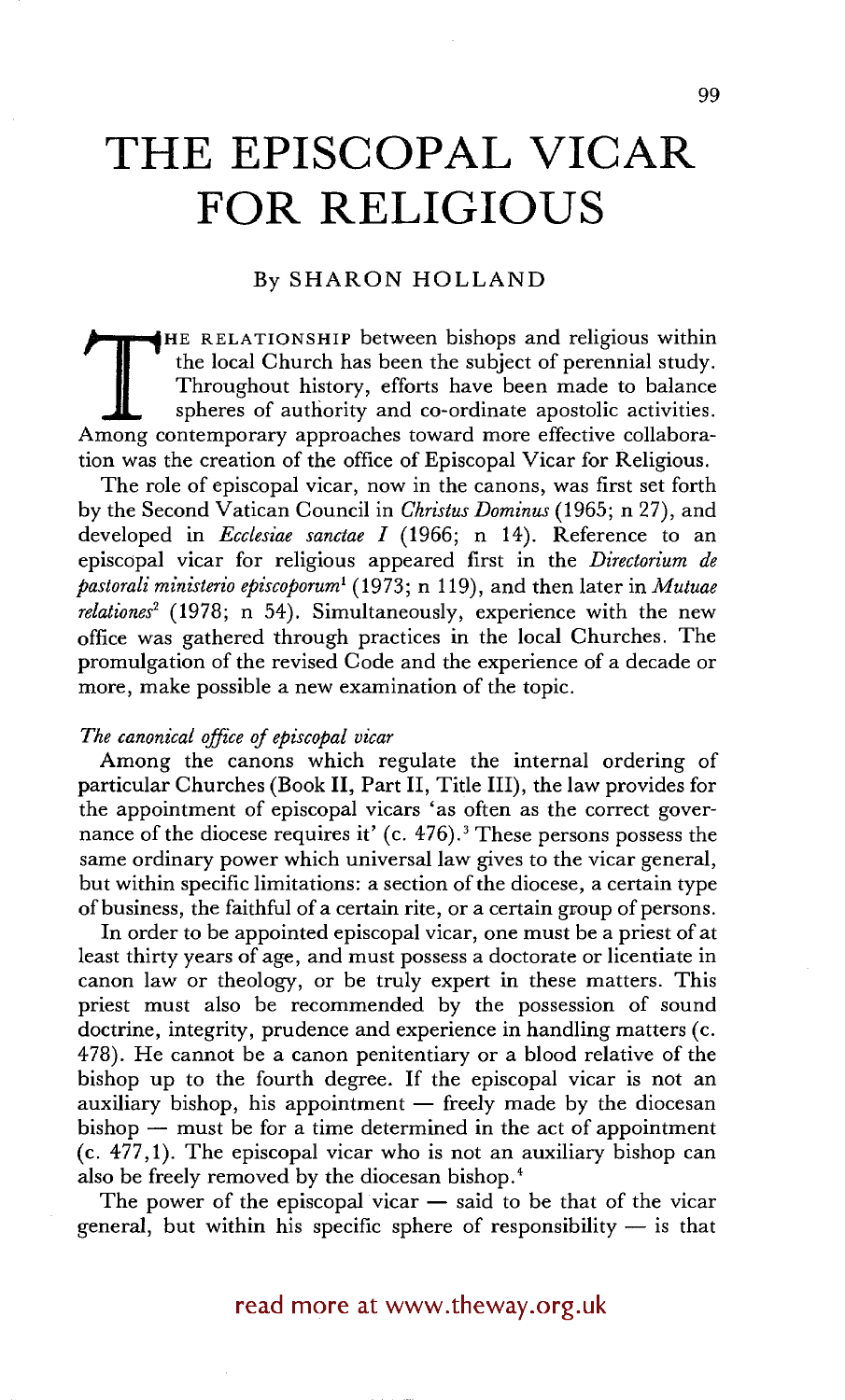# **THE EPISCOPAL VICAR FOR RELIGIOUS**

## By SHARON HOLLAND

THE RELATIONSHIP between bishops and religious within the local Church has been the subject of perennial study. Throughout history, efforts have been made to balance spheres of authority and co-ordinate apostolic activitie the local Church has been the subject of perennial study. Throughout history, efforts have been made to balance spheres of authority and co-ordinate apostolic activities. tion was the creation of the office of Episcopal Vicar for Religious.

The role of episcopal vicar, now in the canons, was first set forth by the Second Vatican Council in *Christus Dominus* (1965; n 27), and developed in *Ecclesiae sanctae I* (1966; n 14). Reference to an episcopal vicar for religious appeared first in the *Directorium de pastorali ministerio episcoporum I* (1973; n 119), and then later in *Mutuae relationes<sup>2</sup>* (1978; n 54). Simultaneously, experience with the new office was gathered through practices in the local Churches. The promulgation of the revised Code and the experience of a decade or more, make possible a new examination of the topic.

### *The canonical office of episcopal vicar*

Among the canons which regulate the internal ordering of particular Churches (Book II, Part II, Title III), the law provides for the appointment of episcopal vicars 'as often as the correct governance of the diocese requires it' (c. 476). 3 These persons possess the same ordinary power which universal law gives to the vicar general, but within specific limitations: a section of the diocese, a certain type of business, the faithful of a certain rite, or a certain group of persons.

In order to be appointed episcopal vicar, one must be a priest of at least thirty years of age, and must possess a doctorate or licentiate in canon law or theology, or be truly expert in these matters. This priest must also be recommended by the possession of sound doctrine, integrity, prudence and experience in handling matters (c. 478). He cannot be a canon penitentiary or a blood relative of the bishop up to the fourth degree. If the episcopal vicar is not an auxiliary bishop, his appointment  $-$  freely made by the diocesan  $bishop$  -- must be for a time determined in the act of appointment (c. 477,1). The episcopal vicar who is not an auxiliary bishop can also be freely removed by the diocesan bishop.<sup>4</sup>

The power of the episcopal vicar  $-$  said to be that of the vicar general, but within his specific sphere of responsibility  $-$  is that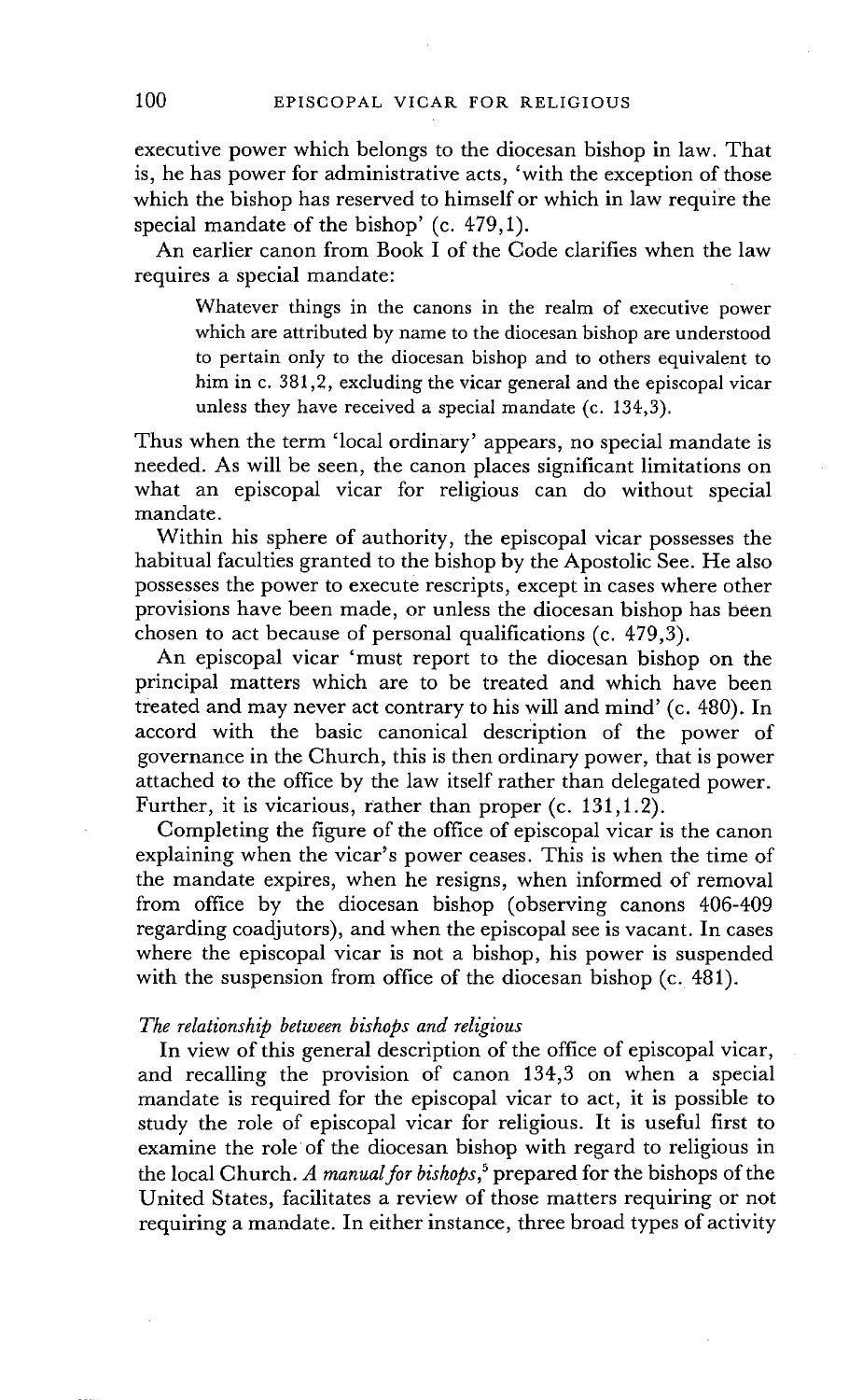executive power which belongs to the diocesan bishop in law. That is, he has power for administrative acts, 'with the exception of those which the bishop has reserved to himself or which in law require the special mandate of the bishop' (c. 479,1).

An earlier canon from Book I of the Code clarifies when the law requires a special mandate:

Whatever things in the canons in the realm of executive power which are attributed by name to the diocesan bishop are understood to pertain only to the diocesan bishop and to others equivalent to him in c. 381,2, excluding the vicar general and the episcopal vicar unless they have received a special mandate (c. 134,3).

Thus when the term 'local ordinary' appears, no special mandate is needed. As will be seen, the canon places significant limitations on what an episcopal vicar for religious can do without special mandate.

Within his sphere of authority, the episcopal vicar possesses the habitual faculties granted to the bishop by the Apostolic See. He also possesses the power to execute rescripts, except in cases where other provisions have been made, or unless the diocesan bishop has been chosen to act because of personal qualifications (c. 479,3).

An episcopal vicar 'must report to the diocesan bishop on the principal matters which are to be treated and which have been treated and may never act contrary to his will and mind' (c. 480). In accord with the basic canonical description of the power of governance in the Church, this is then ordinary power, that is power attached to the office by the law itself rather than delegated power. Further, it is vicarious, rather than proper (c. 131,1.2).

Completing the figure of the office of episcopal vicar is the canon explaining when the vicar's power ceases. This is when the time of the mandate expires, when he resigns, when informed of removal from office by the diocesan bishop (observing canons 406-409 regarding coadjutors), and when the episcopal see is vacant. In cases where the episcopal vicar is not a bishop, his power is suspended with the suspension from office of the diocesan bishop (c. 481).

## *The relationship between bishops and religious*

In view of this general description of the office of episcopal vicar, and recalling the provision of canon 134,3 on when a special mandate is required for the episcopal vicar to act, it is possible to study the role of episcopal vicar for religious. It is useful first to examine the role of the diocesan bishop with regard to religious in the local Church. *A manual for bishops, 5* prepared for the bishops of the United States, facilitates a review of those matters requiring or not requiring a mandate. In either instance, three broad types of activity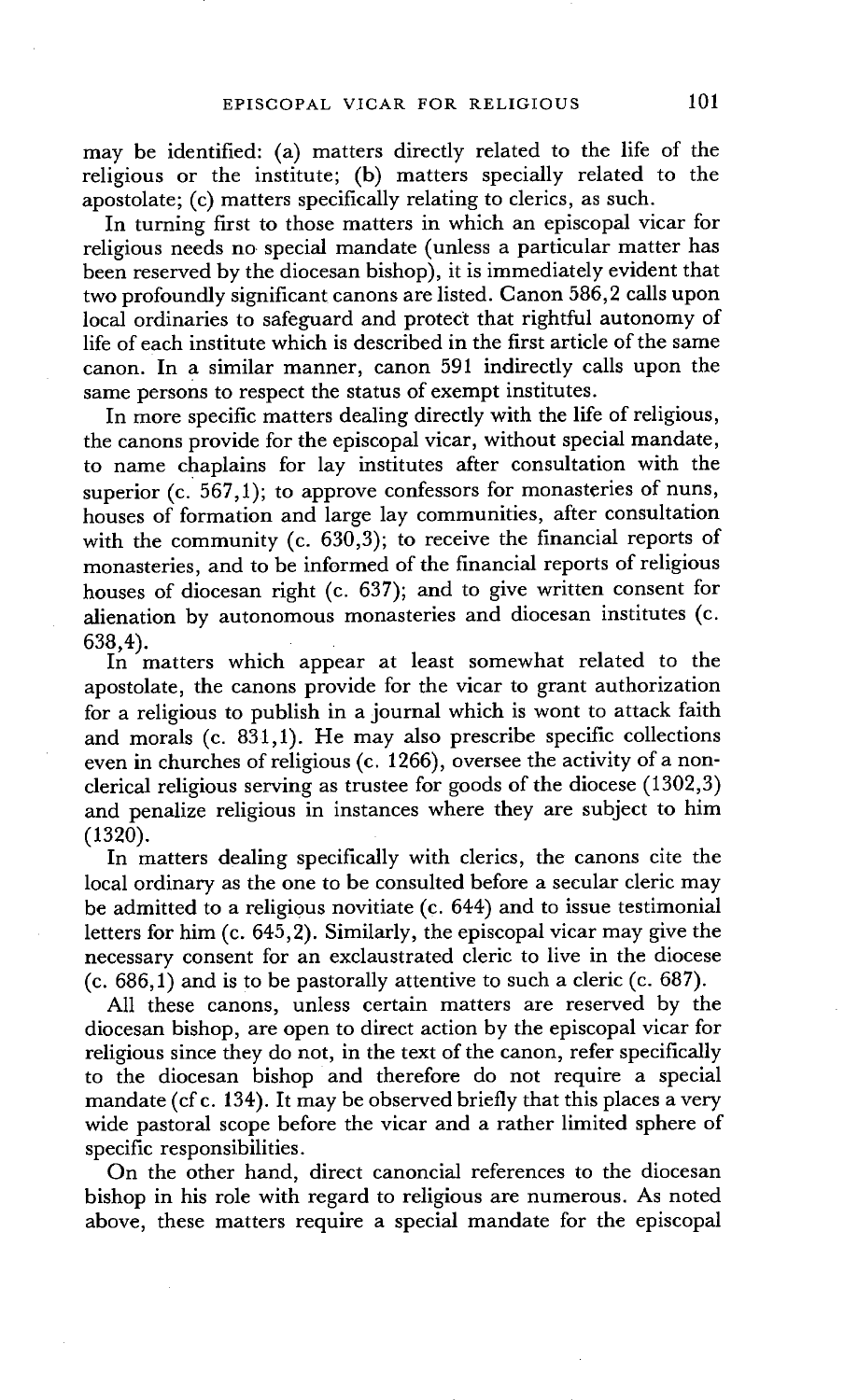may be identified: (a) matters directly related to the life of the religious or the institute; (b) matters specially related to the apostolate; (c) matters specifically relating to clerics, as such.

In turning first to those matters in which an episcopal vicar for religious needs no special mandate (unless a particular matter has been reserved by the diocesan bishop), it is immediately evident that two profoundly significant canons are listed. Canon 586,2 calls upon local ordinaries to safeguard and protect that rightful autonomy of life of each institute which is described in the first article of the same canon. In a similar manner, canon 591 indirectly calls upon the same persons to respect the status of exempt institutes.

In more specific matters dealing directly with the life of religious, the canons provide for the episcopal vicar, without special mandate, to name chaplains for lay institutes after consultation with the superior (c. 567,1); to approve confessors for monasteries of nuns, houses of formation and large lay communities, after consultation with the community (c. 630,3); to receive the financial reports of monasteries, and to be informed of the financial reports of religious houses of diocesan right (c. 637); and to give written consent for alienation by autonomous monasteries and diocesan institutes (c. 638,4).

In matters which appear at least somewhat related to the apostolate, the canons provide for the vicar to grant authorization for a religious to publish in a journal which is wont to attack faith and morals (c. 831,1). He may also prescribe specific collections even in churches of religious (c. 1266), oversee the activity of a nonclerical religious serving as trustee for goods of the diocese (1302,3) and penalize religious in instances where they are subject to him  $(1320).$ 

In matters dealing specifically with clerics, the canons cite the local ordinary as the one to be consulted before a secular cleric may be admitted to a religious novitiate (c. 644) and to issue testimonial letters for him (c. 645,2). Similarly, the episcopal vicar may give the necessary consent for an exclaustrated cleric to live in the diocese (c. 686,1) and is to be pastorally attentive to such a cleric (c. 687).

All these canons, unless certain matters are reserved by the diocesan bishop, are open to direct action by the episcopal vicar for religious since they do not, in the text of the canon, refer specifically to the diocesan bishop and therefore do not require a special mandate (cf c. 134). It may be observed briefly that this places a very wide pastoral scope before the vicar and a rather limited sphere of specific responsibilities.

On the other hand, direct canoncial references to the diocesan bishop in his role with regard to religious are numerous. As noted above, these matters require a special mandate for the episcopal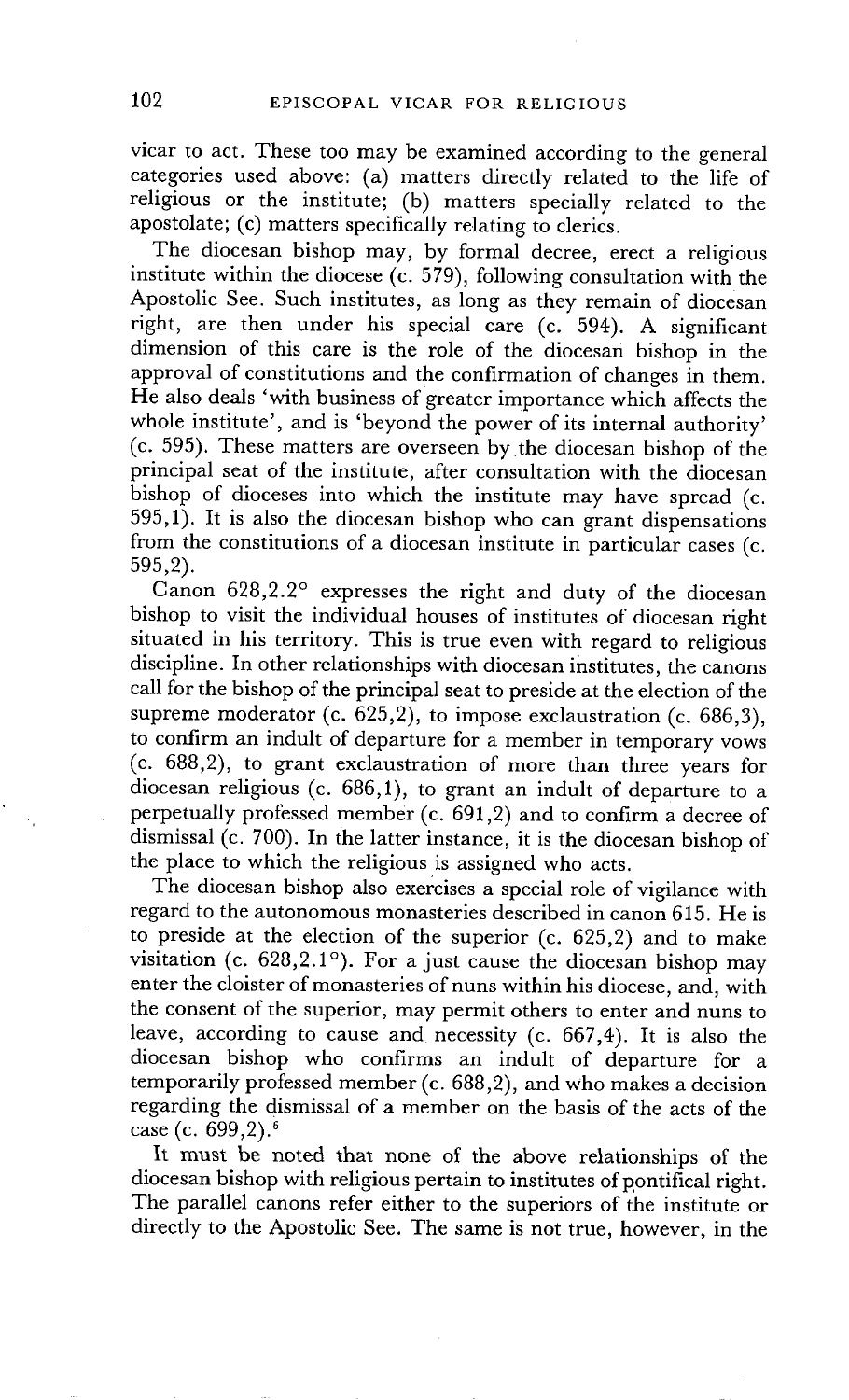vicar to act. These too may be examined according to the general categories used above: (a) matters directly related to the life of religious or the institute; (b) matters specially related to the apostolate; (c) matters specifically relating to clerics.

The diocesan bishop may, by formal decree, erect a religious institute within the diocese (c. 579), following consultation with the Apostolic See. Such institutes, as long as they remain of diocesan right, are then under his special care (c. 594). A significant dimension of this care is the role of the diocesan bishop in the approval of constitutions and the confirmation of changes in them. He also deals 'with business of greater importance which affects the whole institute', and is 'beyond the power of its internal authority' (c. 595). These matters are overseen bythe diocesan bishop of the principal seat of the institute, after consultation with the diocesan bishop of dioceses into which the institute may have spread (c. 595,1). It is also the diocesan bishop who can grant dispensations from the constitutions of a diocesan institute in particular cases (c. 595,2).

Canon 628,2.2 ° expresses the right and duty of the diocesan bishop to visit the individual houses of institutes of diocesan right situated in his territory. This is true even with regard to religious discipline. In other relationships with diocesan institutes, the canons call for the bishop of the principal seat to preside at the election of the supreme moderator (c.  $625,2$ ), to impose exclaustration (c. 686,3), to confirm an induh of departure for a member in temporary vows (c. 688,2), to grant exclaustration of more than three years for diocesan religious (c. 686,1), to grant an indult of departure to a perpetually professed member (c. 691,2) and to confirm a decree of dismissal (c. 700). In the latter instance, it is the diocesan bishop of the place to which the religious is assigned who acts.

The diocesan bishop also exercises a special role of vigilance with regard to the autonomous monasteries described in canon 615. He is to preside at the election of the superior (c. 625,2) and to make visitation (c.  $628,2.1^\circ$ ). For a just cause the diocesan bishop may enter the cloister of monasteries of nuns within his diocese, and, with the consent of the superior, may permit others to enter and nuns to leave, according to cause and necessity (c. 667,4). It is also the diocesan bishop who confirms an indult of departure for a temporarily professed member (c. 688,2), and who makes a decision regarding the dismissal of a member on the basis of the acts of the case (c. 699,2). 6

It must be noted that none of the above relationships of the diocesan bishop with religious pertain to institutes of pontifical right. The parallel canons refer either to the superiors of the institute or directly to the Apostolic See. The same is not true, however, in the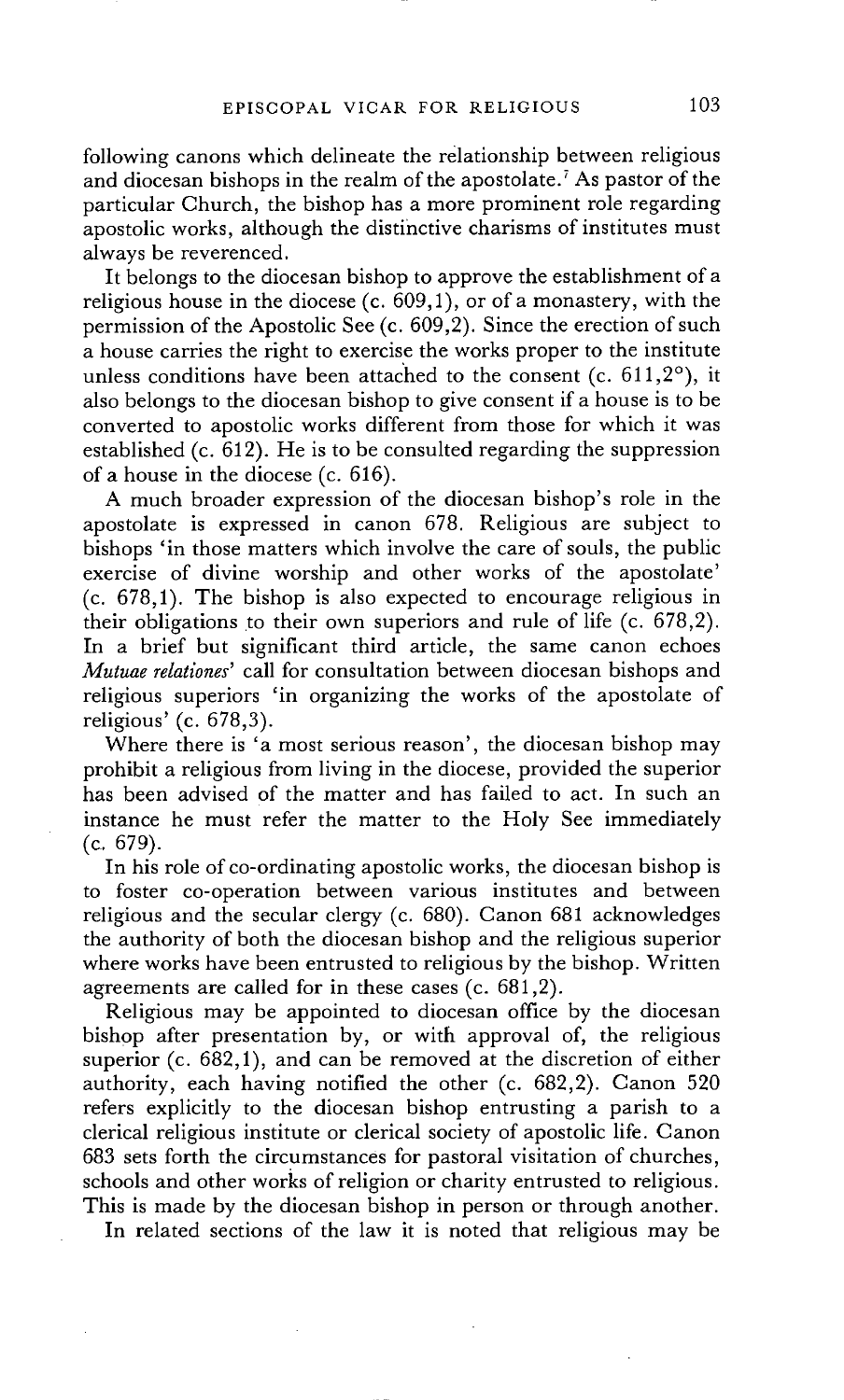following canons which delineate the relationship between religious and diocesan bishops in the realm of the apostolate.<sup>7</sup> As pastor of the particular Church, the bishop has a more prominent role regarding apostolic works, although the distinctive charisms of institutes must always be reverenced.

It belongs to the diocesan bishop to approve the establishment of a religious house in the diocese (c.  $609,1$ ), or of a monastery, with the permission of the Apostolic See (c. 609,2). Since the erection of such a house carries the right to exercise the works proper to the institute unless conditions have been attached to the consent  $(c. 611,2^{\circ})$ , it also belongs to the diocesan bishop to give consent if a house is to be converted to apostolic works different from those for which it was established (c. 612). He is to be consulted regarding the suppression of a house in the diocese (c. 616).

A much broader expression of the diocesan bishop's role in the apostolate is expressed in canon 678. Religious are subject to bishops 'in those matters which involve the care of souls, the public exercise of divine worship and other works of the apostolate' (c. 678,1). The bishop is also expected to encourage religious in their obligations to their own superiors and rule of life (c. 678,2). In a brief but significant third article, the same canon echoes *Mutuae relationes'* call for consultation between diocesan bishops and religious superiors 'in organizing the works of the apostolate of religious' (c. 678,3).

Where there is 'a most serious reason', the diocesan bishop may prohibit a religious from living in the diocese, provided the superior has been advised of the matter and has failed to act. In such an instance he must refer the matter to the Holy See immediately (c. 679).

In his role of co-ordinating apostolic works, the diocesan bishop is to foster co-operation between various institutes and between religious and the secular clergy (c. 680). Canon 681 acknowledges the authority of both the diocesan bishop and the religious superior where works have been entrusted to religious by the bishop. Written agreements are called for in these cases (c. 681,2).

Religious may be appointed to diocesan office by the diocesan bishop after presentation by, or with approval of, the religious superior (c. 682,1), and can be removed at the discretion of either authority, each having notified the other (c. 682,2). Canon 520 refers explicitly to the diocesan bishop entrusting a parish to a clerical religious institute or clerical society of apostolic life. Canon 683 sets forth the circumstances for pastoral visitation of churches, schools and other works of religion or charity entrusted to religious. This is made by the diocesan bishop in person or through another.

In related sections of the law it is noted that religious may be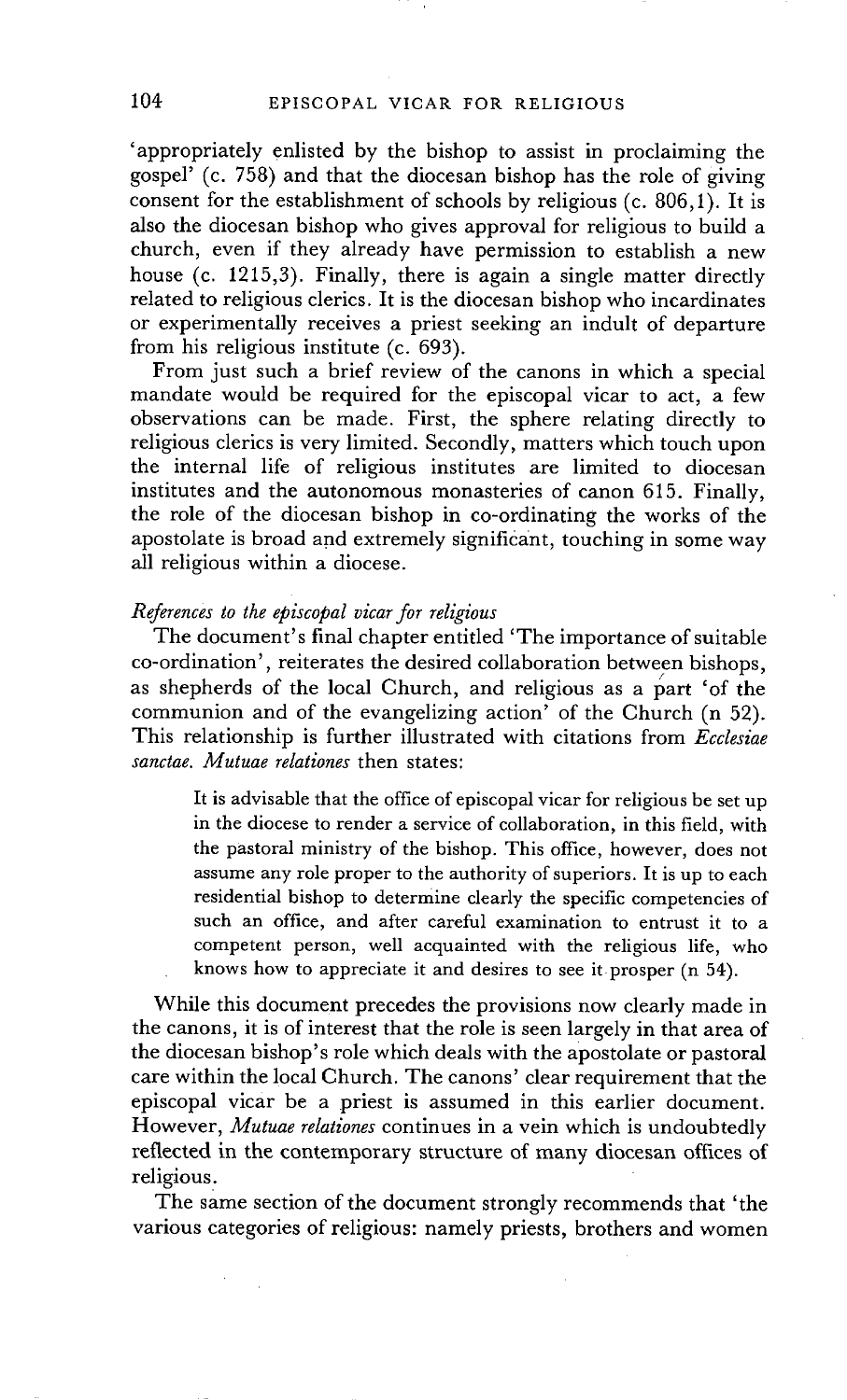'appropriately enlisted by the bishop to assist in proclaiming the gospel' (c. 758) and that the diocesan bishop has the role of giving consent for the establishment of schools by religious (c. 806,1). It is also the diocesan bishop who gives approval for religious to build a church, even if they already have permission to establish a new house (c. 1215,3). Finally, there is again a single matter directly related to religious clerics. It is the diocesan bishop who incardinates or experimentally receives a priest seeking an indult of departure from his religious institute (c. 693).

From just such a brief review of the canons in which a special mandate would be required for the episcopal vicar to act, a few observations can be made. First, the sphere relating directly to religious clerics is very limited. Secondly, matters which touch upon the internal life of religious institutes are limited to diocesan institutes and the autonomous monasteries of canon 615. Finally, the role of the diocesan bishop in co-ordinating the works of the apostolate is broad and extremely significant, touching in some way all religious within a diocese.

#### *References to the episcopal vicar for religious*

The document's final chapter entitled 'The importance of suitable co-ordination', reiterates the desired collaboration between bishops, as shepherds of the local Church, and religious as a part 'of the communion and of the evangelizing action' of the Church (n 52). This relationship is further illustrated with citations from *Ecclesiae sanctae. Mutuae relationes* then states:

It is advisable that the office of episcopal vicar for religious be set up in the diocese to render a service of collaboration, in this field, with the pastoral ministry of the bishop. This office, however, does not assume any role proper to the authority of superiors. It is up to each residential bishop to determine clearly the specific competencies of such an office, and after careful examination to entrust it to a competent person, well acquainted with the religious life, who knows how to appreciate it and desires to see it prosper (n 54).

While this document precedes the provisions now clearly made in the canons, it is of interest that the role is seen largely in that area of the diocesan bishop's role which deals with the apostolate or pastoral care within the local Church. The canons' clear requirement that the episcopal vicar be a priest is assumed in this earlier document. However, *Mutuae relationes* continues in a vein which is undoubtedly reflected in the contemporary structure of many diocesan offices of religious:

The same section of the document strongly recommends that 'the various categories of religious: namely priests, brothers and women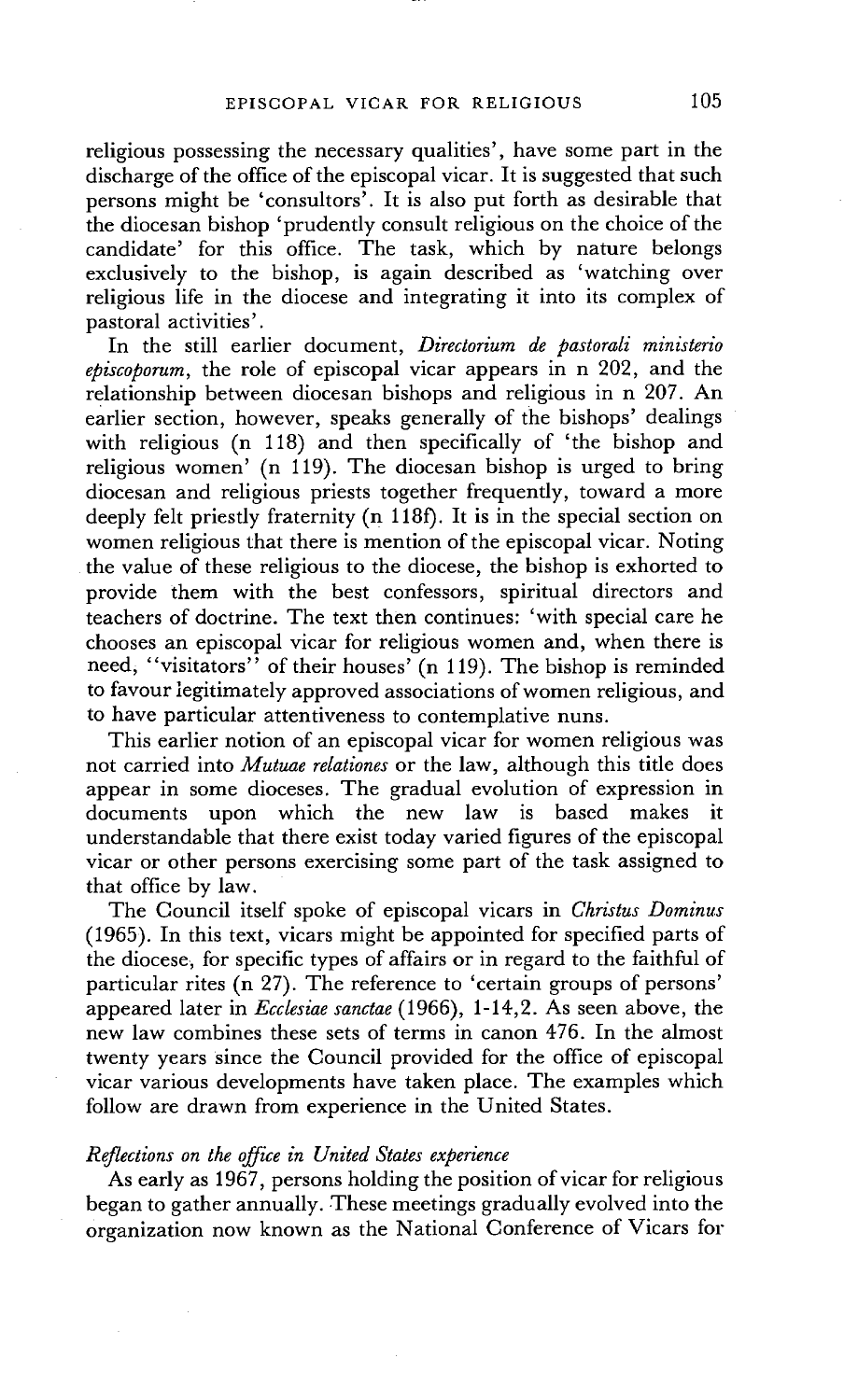religious possessing the necessary qualities', have some part in the discharge of the office of the episcopal vicar. It is suggested that such persons might be 'consultors'. It is also put forth as desirable that the diocesan bishop 'prudently consult religious on the choice of the candidate' for this office. The task, which by nature belongs exclusively to the bishop, is again described as 'watching over religious life in the diocese and integrating it into its complex of pastoral activities'.

In the still earlier document, *Directorium de pastorali ministerio episcoporum,* the role of episcopal vicar appears in n 202, and the relationship between diocesan bishops and religious in n 207. An earlier section, however, speaks generally of the bishops' dealings with religious (n 118) and then specifically of 'the bishop and religious women' (n 119). The diocesan bishop is urged to bring diocesan and religious priests together frequently, toward a more deeply felt priestly fraternity (n 118f). It is in the special section on women religious that there is mention of the episcopal vicar. Noting the value of these religious to the diocese, the bishop is exhorted to provide them with the best confessors, spiritual directors and teachers of doctrine. The text then continues: 'with special care he chooses an episcopal vicar for religious women and, when there is need, "visitators" of their houses' (n 119). The bishop is reminded to favour legitimately approved associations of women religious, and to have particular attentiveness to contemplative nuns.

This earlier notion of an episcopal vicar for women religious was not carried into *Mutuae relationes* or the law, although this title does appear in some dioceses. The gradual evolution of expression in documents upon which the new law is based makes understandable that there exist today varied figures of the episcopal vicar or other persons exercising some part of the task assigned to that office by law.

The Council itself spoke of episcopal vicars in *Christus Dominus*  (1965). In this text, vicars might be appointed for specified parts of the diocese, for specific types of affairs or in regard to the faithful of particular rites (n 27). The reference to 'certain groups of persons' appeared later in *Ecclesiae sanctae* (1966), 1-14,2. As seen above, the new law combines these sets of terms in canon 476. In the almost twenty years since the Council provided for the office of episcopal vicar various developments have taken place. The examples which follow are drawn from experience in the United States.

#### *Reflections on the office in United States experience*

As early as 1967, persons holding the position of vicar for religious began to gather annually. These meetings gradually evolved into the organization now known as the National Conference of Vicars for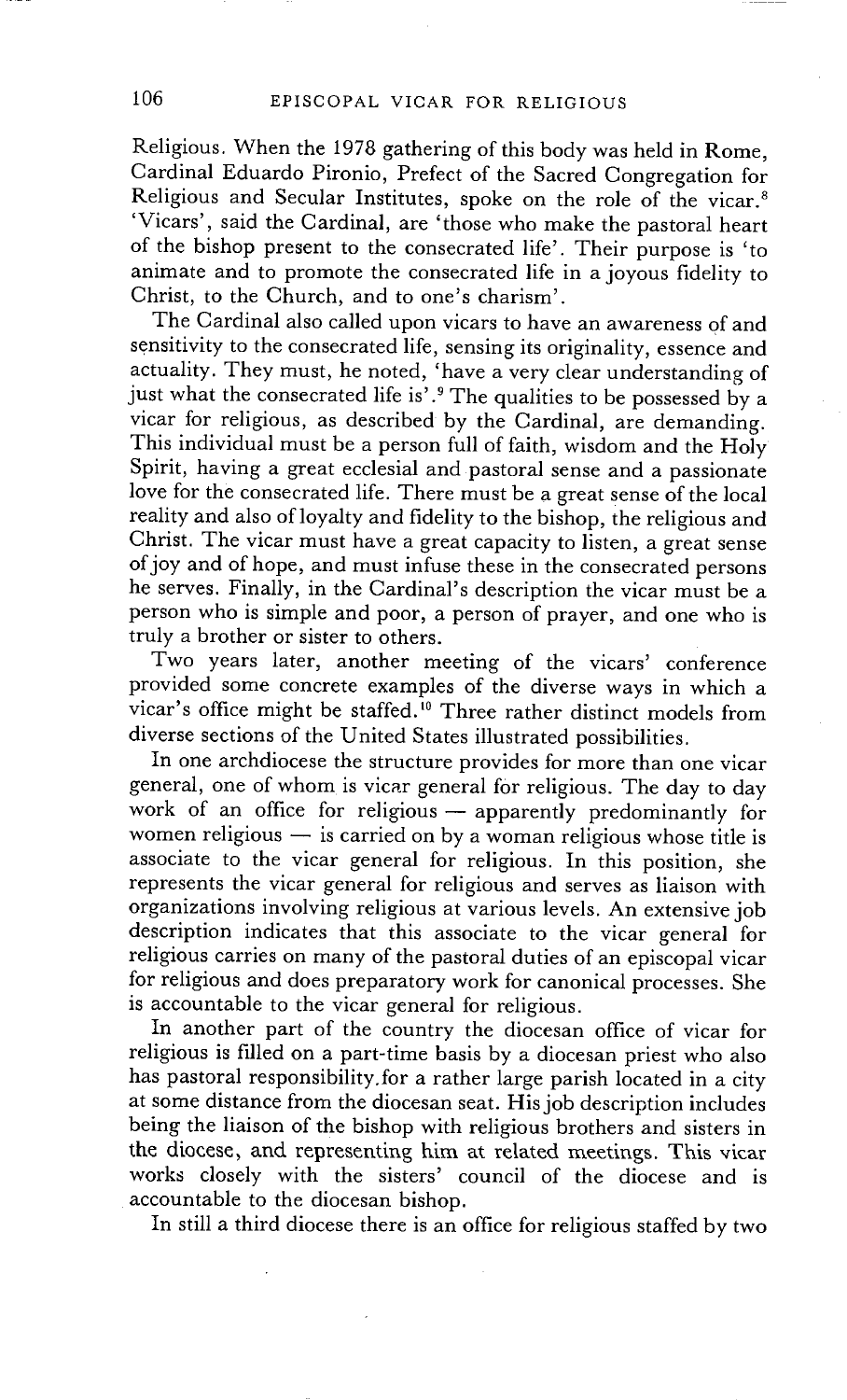Religious. When the 1978 gathering of this body was held in Rome, Cardinal Eduardo Pironio, Prefect of the Sacred Congregation for Religious and Secular Institutes, spoke on the role of the vicar.<sup>8</sup> 'Vicars', said the Cardinal, are 'those who make the pastoral heart of the bishop present to the consecrated life'. Their purpose is 'to animate and to promote the consecrated life in a joyous fidelity to Christ, to the Church, and to one's charism'.

The Cardinal also called upon vicars to have an awareness of and sensitivity to the consecrated life, sensing its originality, essence and actuality. They must, he noted, 'have a very clear understanding of just what the consecrated life is'.<sup>9</sup> The qualities to be possessed by a vicar for religious, as described by the Cardinal, are demanding. This individual must be a person full of faith, wisdom and the Holy Spirit, having a great ecclesial and pastoral sense and a passionate love for the consecrated life. There must be a great sense of the local reality and also of loyalty and fidelity to the bishop, the religious and Christ. The vicar must have a great capacity to listen, a great sense of joy and of hope, and must infuse these in the consecrated persons he serves. Finally, in the Cardinal's description the vicar must be a person who is simple and poor, a person of prayer, and one who is truly a brother or sister to others.

Two years later, another meeting of the vicars' conference provided some concrete examples of the diverse ways in which a vicar's office might be staffed.<sup>10</sup> Three rather distinct models from diverse sections of the United States illustrated possibilities.

In one archdiocese the structure provides for more than one vicar general, one of whom is vicar general for religious. The day to day work of an office for religious - apparently predominantly for women religious  $-$  is carried on by a woman religious whose title is associate to the vicar general for religious. In this position, she represents the vicar general for religious and serves as liaison with organizations involving religious at various levels. An extensive job description indicates that this associate to the vicar general for religious carries on many of the pastoral duties of an episcopal vicar for religious and does preparatory work for canonical processes. She is accountable to the vicar general for religious.

In another part of the country the diocesan office of vicar for religious is filled on a part-time basis by a diocesan priest who also has pastoral responsibility.for a rather large parish located in a city at some distance from the diocesan seat. His job description includes being the liaison of the bishop with religious brothers and sisters in the diocese, and representiag him at related meetings. This vicar works closely with the sisters' council of the diocese and is accountable to the diocesan bishop.

In still a third diocese there is an office for religious staffed by two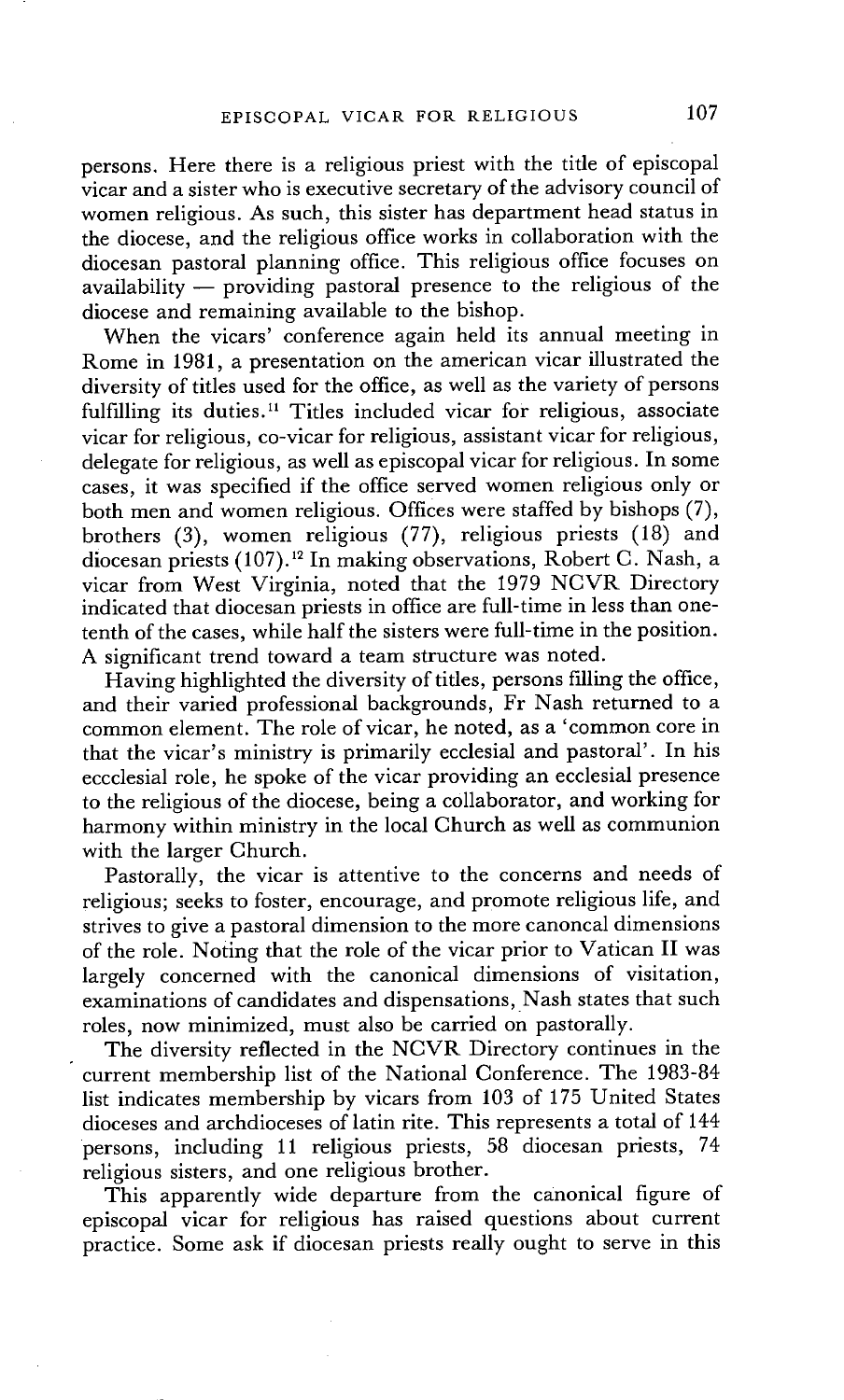persons. Here there is a religious priest with the title of episcopal vicar and a sister who is executive secretary of the advisory council of women religious. As such, this sister has department head status in the diocese, and the religious office works in collaboration with the diocesan pastoral planning office. This religious office focuses on  $a$ vailability — providing pastoral presence to the religious of the diocese and remaining available to the bishop.

When the vicars' conference again held its annual meeting in Rome in 1981, a presentation on the american vicar illustrated the diversity of titles used for the office, as well as the variety of persons fulfilling its duties.<sup>11</sup> Titles included vicar for religious, associate vicar for religious, co-vicar for religious, assistant vicar for religious, delegate for religious, as well as episcopal vicar for religious. In some cases, it was specified if the office served women religious only or both men and women religious. Offices were staffed by bishops (7), brothers (3), women religious (77), religious priests (18) and diocesan priests (107).12 In making observations, Robert C. Nash, a vicar from West Virginia, noted that the 1979 NCVR Directory indicated that diocesan priests in office are full-time in less than onetenth of the cases, while half the sisters were full-time in the position. A significant trend toward a team structure was noted.

Having highlighted the diversity of titles, persons filling the office, and their varied professional backgrounds, Fr Nash returned to a common element. The role of vicar, he noted, as a 'common core in that the vicar's ministry is primarily ecclesial and pastoral'. In his eccclesial role, he spoke of the vicar providing an ecclesial presence to the religious of the diocese, being a collaborator, and working for harmony within ministry in the local Church as well as communion with the larger Church.

Pastorally, the vicar is attentive to the concerns and needs of religious; seeks to foster, encourage, and promote religious life, and strives to give a pastoral dimension to the more canoncal dimensions of the role. Noting that the role of the vicar prior to Vatican II was largely concerned with the canonical dimensions of visitation, examinations of candidates and dispensations, Nash states that such roles, now minimized, must also be carried on pastorally.

The diversity reflected in the NCVR Directory continues in the • current membership list of the National Conference. The 1983-84 list indicates membership by vicars from 103 of 175 United States dioceses and archdioceses of latin rite. This represents a total of 144 persons, including 11 religious priests, 58 diocesan priests, 74 religious sisters, and one religious brother.

This apparently wide departure from the canonical figure of episcopal vicar for religious has raised questions about current practice. Some ask if diocesan priests really ought to serve in this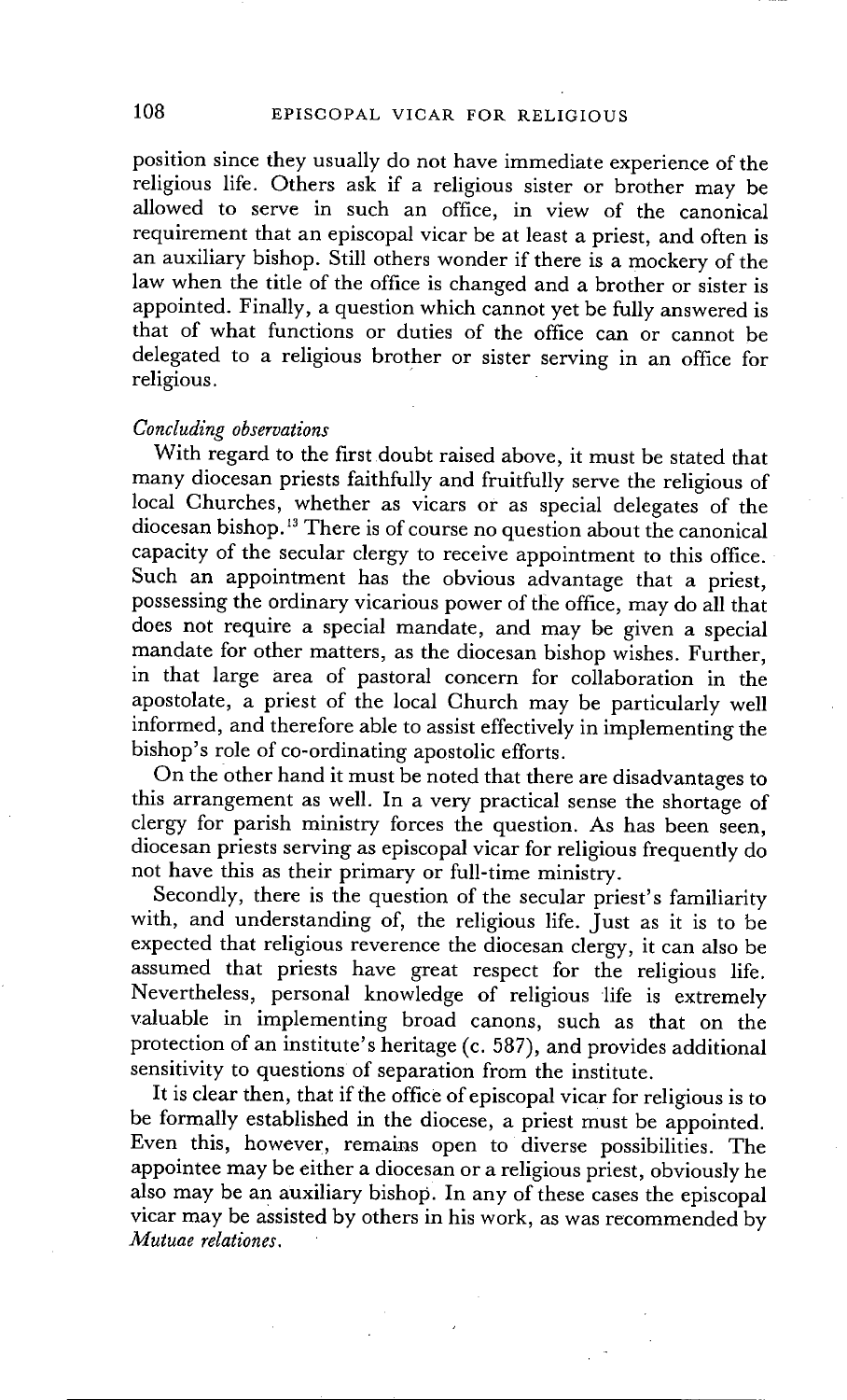position since they usually do not have immediate experience of the religious life. Others ask if a religious sister or brother may be allowed to serve in such an office, in view of the canonical requirement that an episcopal vicar be at least a priest, and often is an auxiliary bishop. Still others wonder if there is a mockery of the law when the title of the office is changed and a brother or sister is appointed. Finally, a question which cannot yet be fully answered is that of what functions or duties of the office can or cannot be delegated to a religious brother or sister serving in an office for religious.

### *Concluding observations*

With regard to the first doubt raised above, it must be stated that many diocesan priests faithfully and fruitfully serve the religious of local Churches, whether as vicars or as special delegates of the diocesan bishop.<sup>13</sup> There is of course no question about the canonical capacity of the secular clergy to receive appointment to this office. Such an appointment has the obvious advantage that a priest, possessing the ordinary vicarious power of the office, may do all that does not require a special mandate, and may be given a special mandate for other matters, as the diocesan bishop wishes. Further, in that large area of pastoral concern for collaboration in the apostolate, a priest of the local Church may be particularly well informed, and therefore able to assist effectively in implementing the bishop's role of co-ordinating apostolic efforts.

On the other hand it must be noted that there are disadvantages to this arrangement as well. In a very practical sense the shortage of clergy for parish ministry forces the question. As has been seen, diocesan priests serving as episcopal vicar for religious frequently do not have this as their primary or full-time ministry.

Secondly, there is the question of the secular priest's familiarity with, and understanding of, the religious life. Just as it is to be expected that religious reverence the diocesan clergy, it can also be assumed that priests have great respect for the religious life. Nevertheless, personal knowledge of religious life is extremely valuable in implementing broad canons, such as that on the protection of an institute's heritage (c. 587), and provides additional sensitivity to questions of separation from the institute.

It is clear then, that if the office of episcopal vicar for religious is to be formally established in the diocese, a priest must be appointed. Even this, however, remains open to diverse possibilities. The appointee may be either a diocesan or a religious priest, obviously he also may be an auxiliary bishop. In any of these cases the episcopal vicar may be assisted by others in his work, as was recommended by *Mutuae relationes.*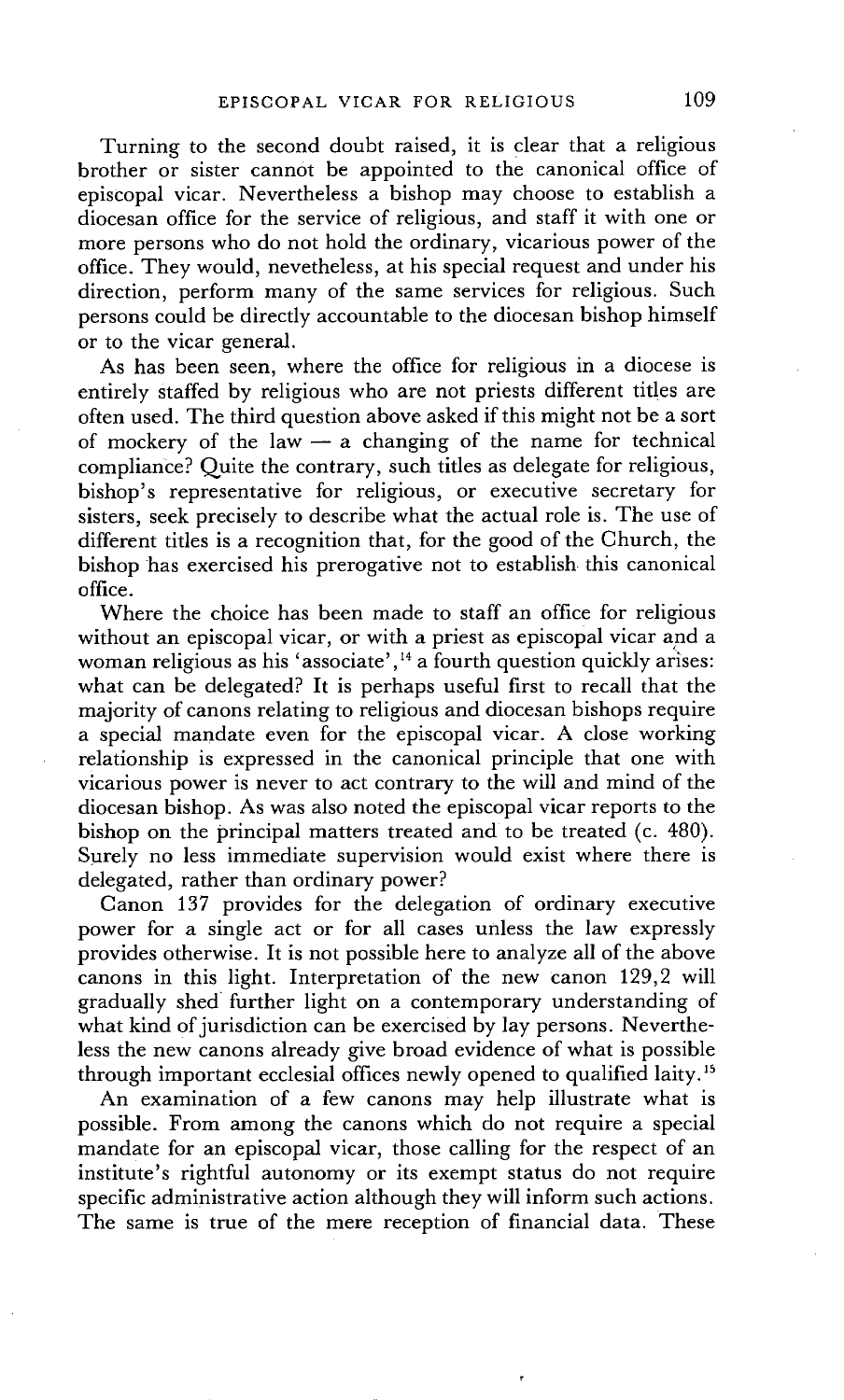Turning to the second doubt raised, it is clear that a religious brother or sister cannot be appointed to the canonical office of episcopal vicar. Nevertheless a bishop may choose to establish a diocesan office for the service of religious, and staff it with one or more persons who do not hold the ordinary, vicarious power of the office. They would, nevetheless, at his special request and under his direction, perform many of the same services for religious. Such persons could be directly accountable to the diocesan bishop himself or to the vicar general.

As has been seen, where the office for religious in a diocese is entirely staffed by religious who are not priests different titles are often used. The third question above asked if this might not be a sort of mockery of the law  $-$  a changing of the name for technical compliance? Quite the contrary, such titles as delegate for religious, bishop's representative for religious, or executive secretary for sisters, seek precisely to describe what the actual role is. The use of different titles is a recognition that, for the good of the Church, the bishop has exercised his prerogative not to establish this canonical office.

Where the choice has been made to staff an office for religious without an episcopal vicar, or with a priest as episcopal vicar and a woman religious as his 'associate',<sup>14</sup> a fourth question quickly arises: what can be delegated? It is perhaps useful first to recall that the majority of canons relating to religious and diocesan bishops require a special mandate even for the episcopal vicar. A close working relationship is expressed in the canonical principle that one with vicarious power is never to act contrary to the will and mind of the diocesan bishop. As was also noted the episcopal vicar reports to the bishop on the principal matters treated and to be treated (c. 480). Surely no less immediate supervision would exist where there is delegated, rather than ordinary power?

Canon 137 provides for the delegation of ordinary executive power for a single act or for all cases unless the law expressly provides otherwise. It is not possible here to analyze all of the above canons in this light. Interpretation of the new canon 129,2 will gradually shed further light on a contemporary understanding of what kind of jurisdiction can be exercised by lay persons. Nevertheless the new canons already give broad evidence of what is possible through important ecclesial offices newly opened to qualified laity.<sup>15</sup>

An examination of a few canons may help illustrate what is possible. From among the canons which do not require a special mandate for an episcopal vicar, those calling for the respect of an institute's rightful autonomy or its exempt status do not require specific administrative action although they will inform such actions. The same is true of the mere reception of financial data. These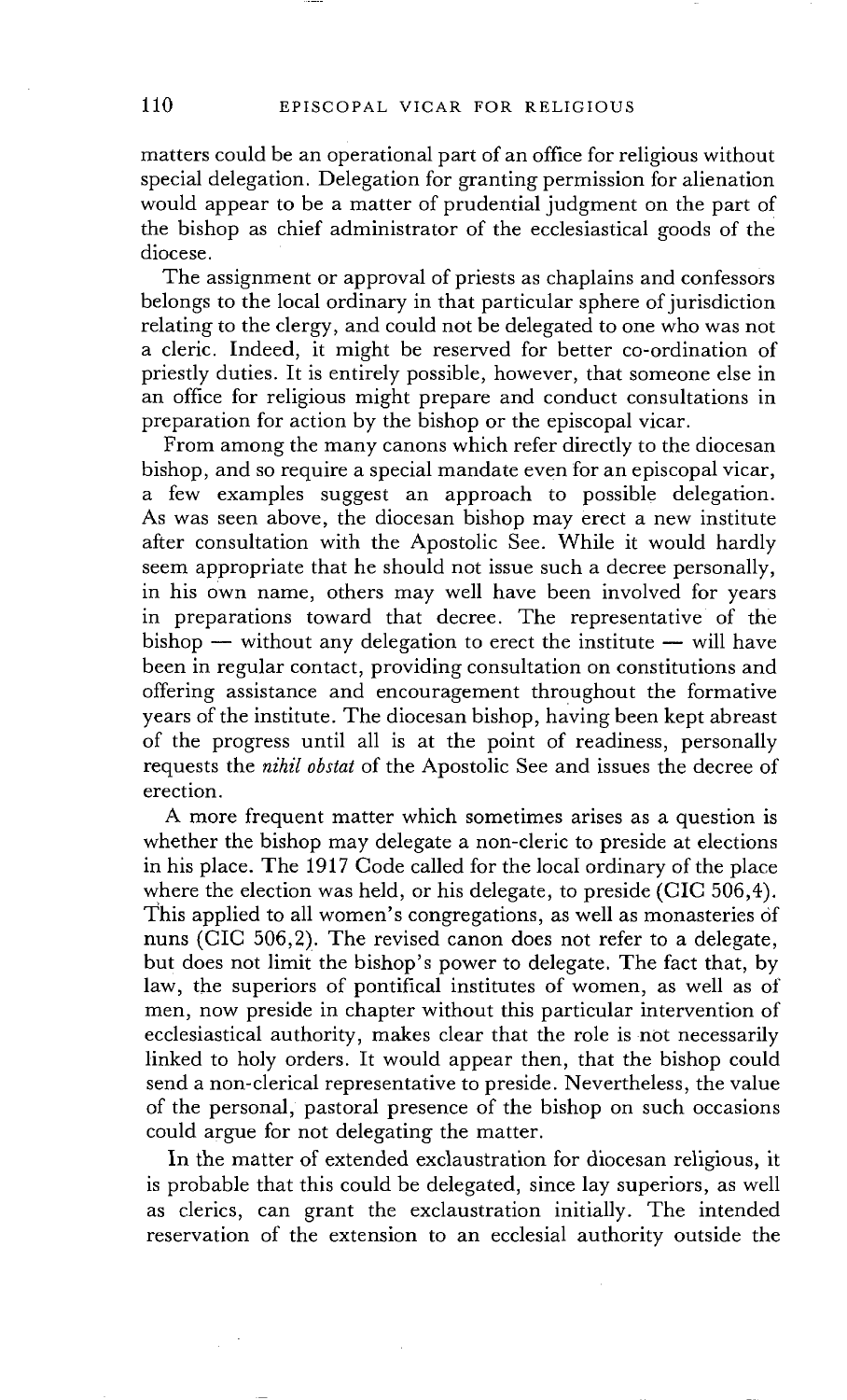matters could be an operational part of an office for religious without special delegation. Delegation for granting permission for alienation would appear to be a matter of prudential judgment on the part of the bishop as chief administrator of the ecclesiastical goods of the diocese.

The assignment or approval of priests as chaplains and confessors belongs to the local ordinary in that particular sphere of jurisdiction relating to the clergy, and could not be delegated to one who was not a cleric. Indeed, it might be reserved for better co-ordination of priestly duties. It is entirely possible, however, that someone else in an office for religious might prepare and conduct consultations in preparation for action by the bishop or the episcopal vicar.

From among the many canons which refer directly to the diocesan bishop, and so require a special mandate even for an episcopal vicar, a few examples suggest an approach to possible delegation. As was seen above, the diocesan bishop may erect a new institute after consultation with the Apostolic See. While it would hardly seem appropriate that he should not issue such a decree personally, in his own name, others may well have been involved for years in preparations toward that decree. The representative of the  $bishop$  -- without any delegation to erect the institute -- will have been in regular contact, providing consultation on constitutions and offering assistance and encouragement throughout the formative years of the institute. The diocesan bishop, having been kept abreast of the progress until all is at the point of readiness, personally requests the *nihil obstat* of the Apostolic See and issues the decree of erection.

A more frequent matter which sometimes arises as a question is whether the bishop may delegate a non-cleric to preside at elections in his place. The 1917 Code called for the local ordinary of the place where the election was held, or his delegate, to preside (CIC 506,4). This applied to all women's congregations, as well as monasteries of nuns (CIC 506,2). The revised canon does not refer to a delegate, but does not limit the bishop's power to delegate. The fact that, by law, the superiors of pontifical institutes of women, as well as of men, now preside in chapter without this particular intervention of ecclesiastical authority, makes clear that the role is not necessarily linked to holy orders. It would appear then, that the bishop could send a non-clerical representative to preside. Nevertheless, the value of the personal, pastoral presence of the bishop on such occasions could argue for not delegating the matter.

In the matter of extended exclaustration for diocesan religious, it is probable that this could be delegated, since lay superiors, as well as clerics, can grant the exclaustration initially. The intended reservation of the extension to an ecclesial authority outside the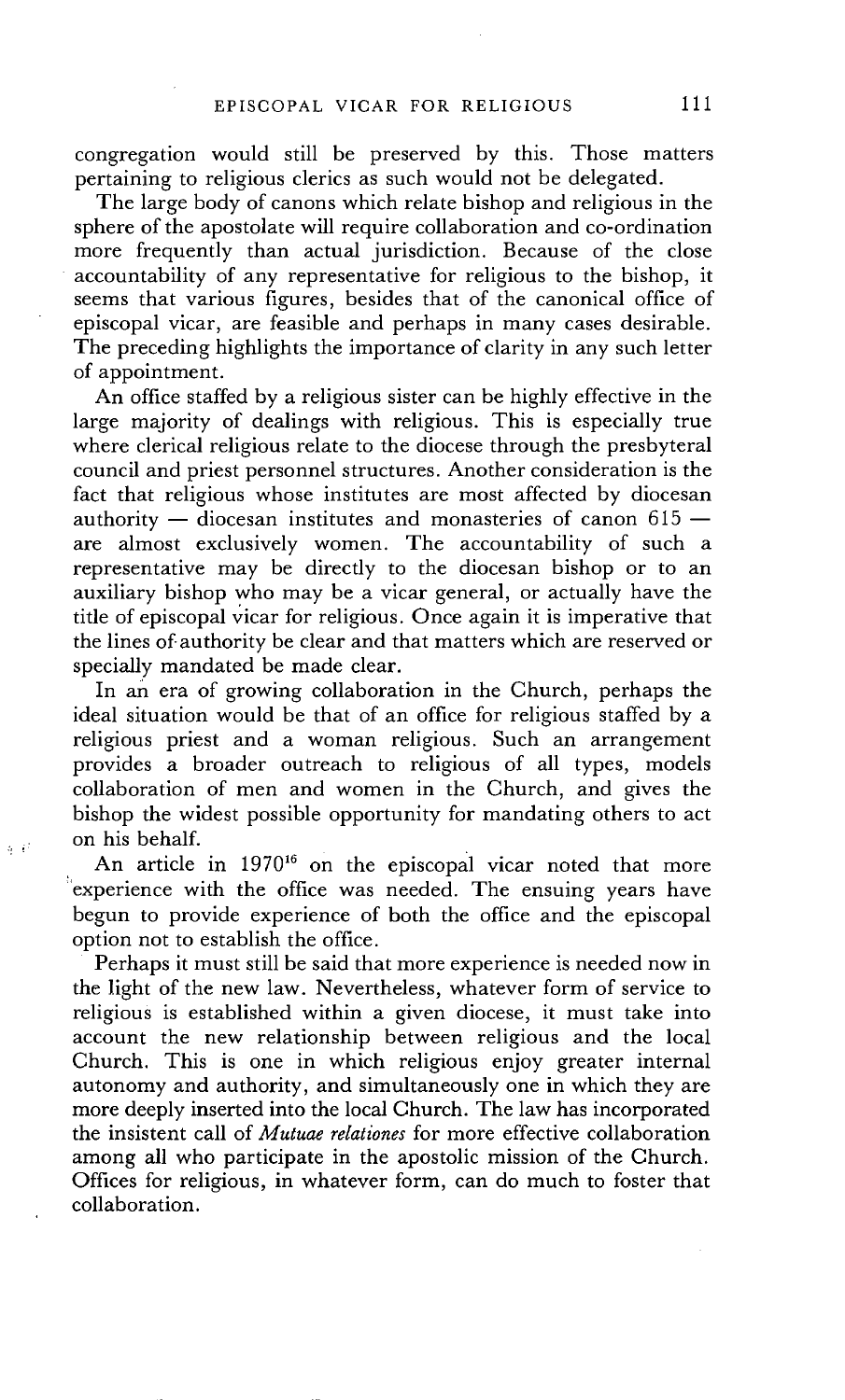congregation would still be preserved by this. Those matters pertaining to religious clerics as such would not be delegated.

The large body of canons which relate bishop and religious in the sphere of the apostolate will require collaboration and co-ordination more frequently than actual jurisdiction. Because of the close accountability of any representative for religious to the bishop, it seems that various figures, besides that of the canonical office of episcopal vicar, are feasible and perhaps in many cases desirable. The preceding highlights the importance of clarity in any such letter of appointment.

An office staffed by a religious sister can be highly effective in the large majority of dealings with religious. This is especially true where clerical religious relate to the diocese through the presbyteral council and priest personnel structures. Another consideration is the fact that religious whose institutes are most affected by diocesan authority  $-$  diocesan institutes and monasteries of canon 615  $$ are almost exclusively women. The accountability of such a representative may be directly to the diocesan bishop or to an auxiliary bishop who may be a vicar general, or actually have the title of episcopal vicar for religious. Once again it is imperative that the lines of-authority be clear and that matters which are reserved or specially mandated be made clear.

In an era of growing collaboration in the Church, perhaps the ideal situation would be that of an office for religious staffed by a religious priest and a woman religious. Such an arrangement provides a broader outreach to religious of all types, models collaboration of men and women in the Church, and gives the bishop the widest possible opportunity for mandating others to act on his behalf.

An article in 1970<sup>16</sup> on the episcopal vicar noted that more experience with the office was needed. The ensuing years have begun to provide experience of both the office and the episcopal option not to establish the office.

 $\eta$   $\beta$ 

Perhaps it must still be said that more experience is needed now in the light of the new law. Nevertheless, whatever form of service to religious is established within a given diocese, it must take into account the new relationship between religious and the local Church. This is one in which religious enjoy greater internal autonomy and authority, and simultaneously one in which they are more deeply inserted into the local Church. The law has incorporated the insistent call of *Mutuae relationes* for more effective collaboration among all who participate in the apostolic mission of the Church. Offices for religious, in whatever form, can do much to foster that collaboration.